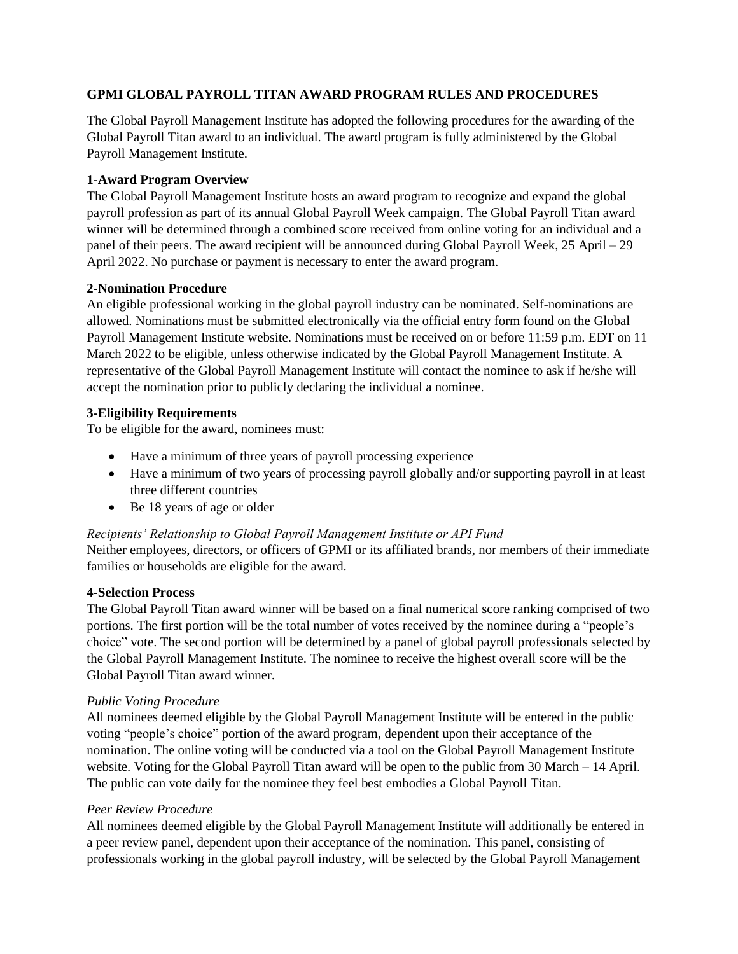## **GPMI GLOBAL PAYROLL TITAN AWARD PROGRAM RULES AND PROCEDURES**

The Global Payroll Management Institute has adopted the following procedures for the awarding of the Global Payroll Titan award to an individual. The award program is fully administered by the Global Payroll Management Institute.

### **1-Award Program Overview**

The Global Payroll Management Institute hosts an award program to recognize and expand the global payroll profession as part of its annual Global Payroll Week campaign. The Global Payroll Titan award winner will be determined through a combined score received from online voting for an individual and a panel of their peers. The award recipient will be announced during Global Payroll Week, 25 April – 29 April 2022. No purchase or payment is necessary to enter the award program.

## **2-Nomination Procedure**

An eligible professional working in the global payroll industry can be nominated. Self-nominations are allowed. Nominations must be submitted electronically via the official entry form found on the Global Payroll Management Institute website. Nominations must be received on or before 11:59 p.m. EDT on 11 March 2022 to be eligible, unless otherwise indicated by the Global Payroll Management Institute. A representative of the Global Payroll Management Institute will contact the nominee to ask if he/she will accept the nomination prior to publicly declaring the individual a nominee.

## **3-Eligibility Requirements**

To be eligible for the award, nominees must:

- Have a minimum of three years of payroll processing experience
- Have a minimum of two years of processing payroll globally and/or supporting payroll in at least three different countries
- Be 18 years of age or older

# *Recipients' Relationship to Global Payroll Management Institute or API Fund*

Neither employees, directors, or officers of GPMI or its affiliated brands, nor members of their immediate families or households are eligible for the award.

#### **4-Selection Process**

The Global Payroll Titan award winner will be based on a final numerical score ranking comprised of two portions. The first portion will be the total number of votes received by the nominee during a "people's choice" vote. The second portion will be determined by a panel of global payroll professionals selected by the Global Payroll Management Institute. The nominee to receive the highest overall score will be the Global Payroll Titan award winner.

#### *Public Voting Procedure*

All nominees deemed eligible by the Global Payroll Management Institute will be entered in the public voting "people's choice" portion of the award program, dependent upon their acceptance of the nomination. The online voting will be conducted via a tool on the Global Payroll Management Institute website. Voting for the Global Payroll Titan award will be open to the public from 30 March – 14 April. The public can vote daily for the nominee they feel best embodies a Global Payroll Titan.

#### *Peer Review Procedure*

All nominees deemed eligible by the Global Payroll Management Institute will additionally be entered in a peer review panel, dependent upon their acceptance of the nomination. This panel, consisting of professionals working in the global payroll industry, will be selected by the Global Payroll Management